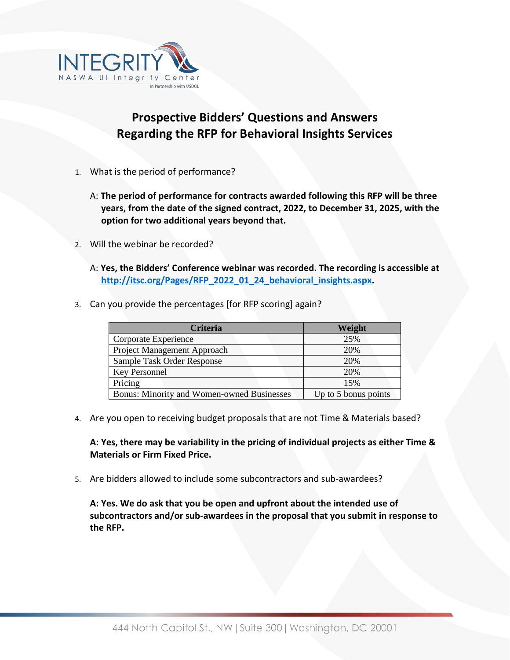

## **Prospective Bidders' Questions and Answers Regarding the RFP for Behavioral Insights Services**

- 1. What is the period of performance?
	- A: **The period of performance for contracts awarded following this RFP will be three years, from the date of the signed contract, 2022, to December 31, 2025, with the option for two additional years beyond that.**
- 2. Will the webinar be recorded?
	- A: **Yes, the Bidders' Conference webinar was recorded. The recording is accessible at [http://itsc.org/Pages/RFP\\_2022\\_01\\_24\\_behavioral\\_insights.aspx.](http://itsc.org/Pages/RFP_2022_01_24_behavioral_insights.aspx)**
- 3. Can you provide the percentages [for RFP scoring] again?

| <b>Criteria</b>                                   | Weight               |
|---------------------------------------------------|----------------------|
| Corporate Experience                              | 25%                  |
| Project Management Approach                       | 20%                  |
| Sample Task Order Response                        | 20%                  |
| Key Personnel                                     | 20%                  |
| Pricing                                           | 15%                  |
| <b>Bonus: Minority and Women-owned Businesses</b> | Up to 5 bonus points |

4. Are you open to receiving budget proposals that are not Time & Materials based?

**A: Yes, there may be variability in the pricing of individual projects as either Time & Materials or Firm Fixed Price.**

5. Are bidders allowed to include some subcontractors and sub-awardees?

**A: Yes. We do ask that you be open and upfront about the intended use of subcontractors and/or sub-awardees in the proposal that you submit in response to the RFP.**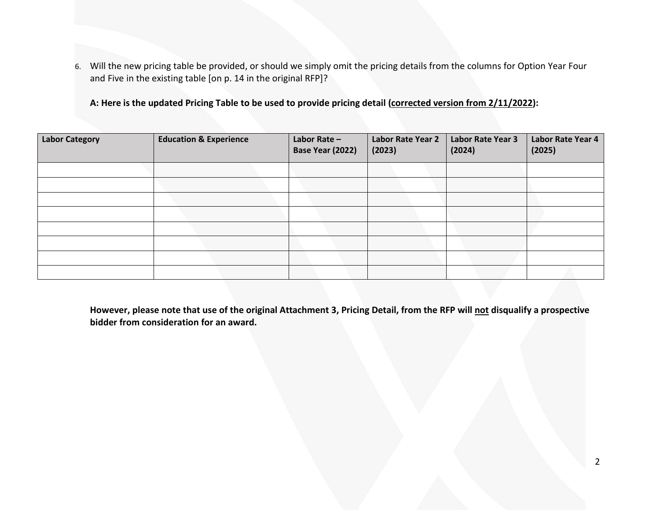6. Will the new pricing table be provided, or should we simply omit the pricing details from the columns for Option Year Four and Five in the existing table [on p. 14 in the original RFP]?

**A: Here is the updated Pricing Table to be used to provide pricing detail (corrected version from 2/11/2022):**

| <b>Labor Category</b> | <b>Education &amp; Experience</b> | Labor Rate -<br>Base Year (2022) | Labor Rate Year 2<br>(2023) | Labor Rate Year 3<br>(2024) | Labor Rate Year 4<br>(2025) |
|-----------------------|-----------------------------------|----------------------------------|-----------------------------|-----------------------------|-----------------------------|
|                       |                                   |                                  |                             |                             |                             |
|                       |                                   |                                  |                             |                             |                             |
|                       |                                   |                                  |                             |                             |                             |
|                       |                                   |                                  |                             |                             |                             |
|                       |                                   |                                  |                             |                             |                             |
|                       |                                   |                                  |                             |                             |                             |
|                       |                                   |                                  |                             |                             |                             |
|                       |                                   |                                  |                             |                             |                             |

**However, please note that use of the original Attachment 3, Pricing Detail, from the RFP will not disqualify a prospective bidder from consideration for an award.**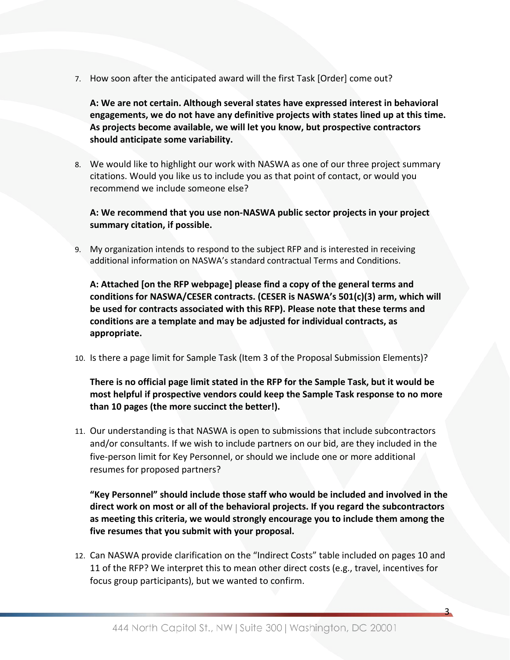7. How soon after the anticipated award will the first Task [Order] come out?

**A: We are not certain. Although several states have expressed interest in behavioral engagements, we do not have any definitive projects with states lined up at this time. As projects become available, we will let you know, but prospective contractors should anticipate some variability.**

8. We would like to highlight our work with NASWA as one of our three project summary citations. Would you like us to include you as that point of contact, or would you recommend we include someone else?

## **A: We recommend that you use non-NASWA public sector projects in your project summary citation, if possible.**

9. My organization intends to respond to the subject RFP and is interested in receiving additional information on NASWA's standard contractual Terms and Conditions.

**A: Attached [on the RFP webpage] please find a copy of the general terms and conditions for NASWA/CESER contracts. (CESER is NASWA's 501(c)(3) arm, which will be used for contracts associated with this RFP). Please note that these terms and conditions are a template and may be adjusted for individual contracts, as appropriate.**

10. Is there a page limit for Sample Task (Item 3 of the Proposal Submission Elements)?

**There is no official page limit stated in the RFP for the Sample Task, but it would be most helpful if prospective vendors could keep the Sample Task response to no more than 10 pages (the more succinct the better!).**

11. Our understanding is that NASWA is open to submissions that include subcontractors and/or consultants. If we wish to include partners on our bid, are they included in the five-person limit for Key Personnel, or should we include one or more additional resumes for proposed partners?

**"Key Personnel" should include those staff who would be included and involved in the direct work on most or all of the behavioral projects. If you regard the subcontractors as meeting this criteria, we would strongly encourage you to include them among the five resumes that you submit with your proposal.**

12. Can NASWA provide clarification on the "Indirect Costs" table included on pages 10 and 11 of the RFP? We interpret this to mean other direct costs (e.g., travel, incentives for focus group participants), but we wanted to confirm.

3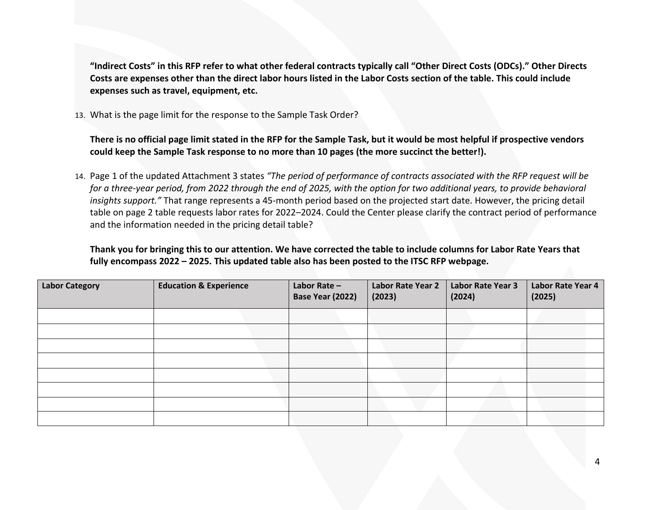**"Indirect Costs" in this RFP refer to what other federal contracts typically call "Other Direct Costs (ODCs)." Other Directs Costs are expenses other than the direct labor hours listed in the Labor Costs section of the table. This could include expenses such as travel, equipment, etc.**

13. What is the page limit for the response to the Sample Task Order?

**There is no official page limit stated in the RFP for the Sample Task, but it would be most helpful if prospective vendors could keep the Sample Task response to no more than 10 pages (the more succinct the better!).**

14. Page 1 of the updated Attachment 3 states *"The period of performance of contracts associated with the RFP request will be for a three-year period, from 2022 through the end of 2025, with the option for two additional years, to provide behavioral insights support."* That range represents a 45-month period based on the projected start date. However, the pricing detail table on page 2 table requests labor rates for 2022–2024. Could the Center please clarify the contract period of performance and the information needed in the pricing detail table?

**Thank you for bringing this to our attention. We have corrected the table to include columns for Labor Rate Years that fully encompass 2022 – 2025. This updated table also has been posted to the ITSC RFP webpage.**

| <b>Labor Category</b> | <b>Education &amp; Experience</b> | Labor Rate -<br>Base Year (2022) | Labor Rate Year 2<br>(2023) | Labor Rate Year 3<br>(2024) | Labor Rate Year 4<br>(2025) |
|-----------------------|-----------------------------------|----------------------------------|-----------------------------|-----------------------------|-----------------------------|
|                       |                                   |                                  |                             |                             |                             |
|                       |                                   |                                  |                             |                             |                             |
|                       |                                   |                                  |                             |                             |                             |
|                       |                                   |                                  |                             |                             |                             |
|                       |                                   |                                  |                             |                             |                             |
|                       |                                   |                                  |                             |                             |                             |
|                       |                                   |                                  |                             |                             |                             |
|                       |                                   |                                  |                             |                             |                             |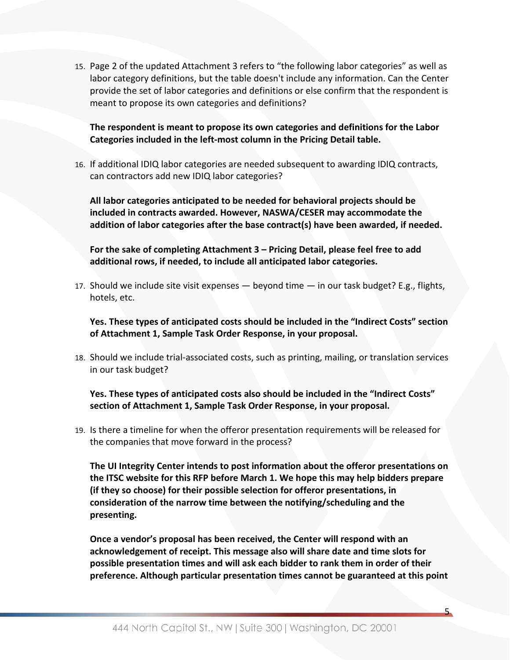15. Page 2 of the updated Attachment 3 refers to "the following labor categories" as well as labor category definitions, but the table doesn't include any information. Can the Center provide the set of labor categories and definitions or else confirm that the respondent is meant to propose its own categories and definitions?

**The respondent is meant to propose its own categories and definitions for the Labor Categories included in the left-most column in the Pricing Detail table.**

16. If additional IDIQ labor categories are needed subsequent to awarding IDIQ contracts, can contractors add new IDIQ labor categories?

**All labor categories anticipated to be needed for behavioral projects should be included in contracts awarded. However, NASWA/CESER may accommodate the addition of labor categories after the base contract(s) have been awarded, if needed.**

**For the sake of completing Attachment 3 – Pricing Detail, please feel free to add additional rows, if needed, to include all anticipated labor categories.**

17. Should we include site visit expenses — beyond time — in our task budget? E.g., flights, hotels, etc.

**Yes. These types of anticipated costs should be included in the "Indirect Costs" section of Attachment 1, Sample Task Order Response, in your proposal.**

18. Should we include trial-associated costs, such as printing, mailing, or translation services in our task budget?

**Yes. These types of anticipated costs also should be included in the "Indirect Costs" section of Attachment 1, Sample Task Order Response, in your proposal.**

19. Is there a timeline for when the offeror presentation requirements will be released for the companies that move forward in the process?

**The UI Integrity Center intends to post information about the offeror presentations on the ITSC website for this RFP before March 1. We hope this may help bidders prepare (if they so choose) for their possible selection for offeror presentations, in consideration of the narrow time between the notifying/scheduling and the presenting.**

**Once a vendor's proposal has been received, the Center will respond with an acknowledgement of receipt. This message also will share date and time slots for possible presentation times and will ask each bidder to rank them in order of their preference. Although particular presentation times cannot be guaranteed at this point** 

5